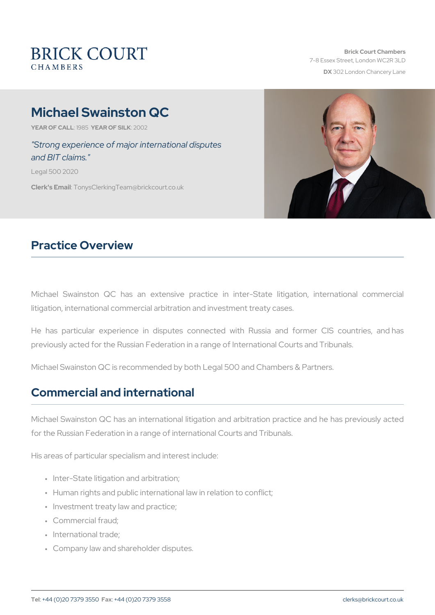# Michael Swainston QC

YEAR OF CALLSLAYSEAR OF SIZIONO2

"Strong experience of major international disputes and BIT claims."

Legal 500 2020

Clerk's Emanily sClerking Team @brickcourt.co.uk

### Practice Overview

Michael Swainston QC has an extensive practice in inter-State litigation, international commercial arbitration and investment treaty or

He has particular experience in disputes connected with Russia previously acted for the Russian Federation in a range of International

Michael Swainston QC is recommended by both Legal 500 and Chamber

#### Commercial and international

Michael Swainston QC has an international litigation and arbitration for the Russian Federation in a range of international Courts and Trib

His areas of particular specialism and interest include:

- " Inter-State litigation and arbitration;
- " Human rights and public international law in relation to conflict;
- " Investment treaty law and practice;
- " Commercial fraud;
- " International trade;
- " Company law and shareholder disputes.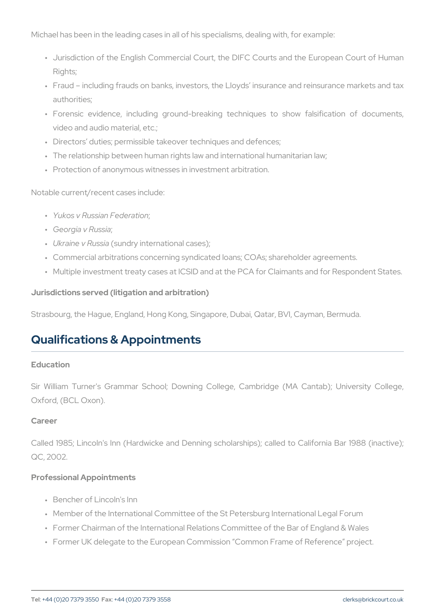Michael has been in the leading cases in all of his specialisms, dealir

- " Jurisdiction of the English Commercial Court, the DIFC Courts an Rights;
- " Fraud including frauds on banks, investors, the Lloyds insuranc authorities;
- " Forensic evidence, including ground-breaking techniques to s video and audio material, etc.;
- " Directors duties; permissible takeover techniques and defences;
- " The relationship between human rights law and international huma
- " Protection of anonymous witnesses in investment arbitration.

Notable current/recent cases include:

- " Yukos v Russian : Federation
- " Georgia v Russia ;
- " Ukraine v Rsussiday international cases);
- " Commercial arbitrations concerning syndicated loans; COAs; share
- " Multiple investment treaty cases at ICSID and at the PCA for Clair

Jurisdictions served (litigation and arbitration)

Strasbourg, the Hague, England, Hong Kong, Singapore, Dubai, Qatar,

## Qualifications & Appointments

#### Education

Sir William Turner's Grammar School; Downing College, Cambridge Oxford, (BCL Oxon).

Career

Called 1985; Lincoln's Inn (Hardwicke and Denning scholarships); ca QC, 2002.

Professional Appointments

- " Bencher of Lincoln's Inn
- " Member of the International Committee of the St Petersburg Intern
- " Former Chairman of the International Relations Committee of the E
- " Former UK delegate to the European Commission Common Frame of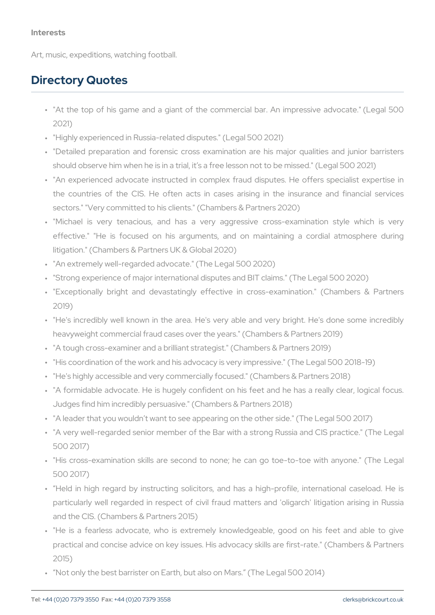Art, music, expeditions, watching football.

#### Directory Quotes

- ""At the top of his game and a giant of the commercial bar. An 2021)
- " "Highly experienced in Russia-related disputes." (Legal 500 2021)
- " "Detailed preparation and forensic cross examination are his m should observe him when he is in a trial, it s a free lesson not to
- " "An experienced advocate instructed in complex fraud disputes. the countries of the CIS. He often acts in cases arising in sectors." "Very committed to his clients." (Chambers & Partners 20
- " "Michael is very tenacious, and has a very aggressive cro effective." "He is focused on his arguments, and on maintain litigation." (Chambers & Partners UK & Global 2020)
- " "An extremely well-regarded advocate." (The Legal 500 2020)
- " "Strong experience of major international disputes and BIT claims. " "Exceptionally bright and devastatingly effective in cross-exal 2019)
- " "He's incredibly well known in the area. He's very able and ver heavyweight commercial fraud cases over the years." (Chambers & " "A tough cross-examiner and a brilliant strategist." (Chambers & P " "His coordination of the work and his advocacy is very impressive. " "He's highly accessible and very commercially focused." (Chamber " "A formidable advocate. He is hugely confident on his feet and Judges find him incredibly persuasive." (Chambers & Partners 201 " "A leader that you wouldn t want to see appearing on the other sid " "A very well-regarded senior member of the Bar with a strong Rus 500 2017)
- " "His cross-examination skills are second to none; he can go to 500 2017)
- " Held in high regard by instructing solicitors, and has a highparticularly well regarded in respect of civil fraud matters and and the CIS. (Chambers & Partners 2015)
- " "He is a fearless advocate, who is extremely knowledgeable,  $\mathfrak g$ practical and concise advice on key issues. His advocacy skills a 2015)
- " Not only the best barrister on Earth, but also on Mars. (The Lega